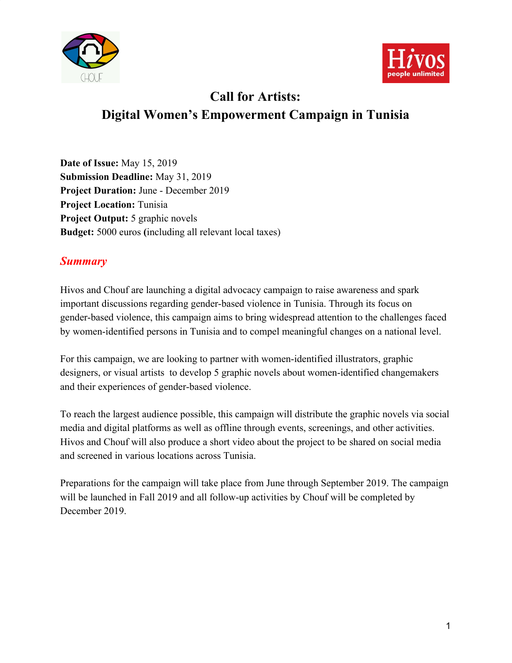



# **Call for Artists: Digital Women's Empowerment Campaign in Tunisia**

**Date of Issue:** May 15, 2019 **Submission Deadline:** May 31, 2019 **Project Duration:** June - December 2019 **Project Location:** Tunisia **Project Output:** 5 graphic novels **Budget:** 5000 euros **(**including all relevant local taxes)

### *Summary*

Hivos and Chouf are launching a digital advocacy campaign to raise awareness and spark important discussions regarding gender-based violence in Tunisia. Through its focus on gender-based violence, this campaign aims to bring widespread attention to the challenges faced by women-identified persons in Tunisia and to compel meaningful changes on a national level.

For this campaign, we are looking to partner with women-identified illustrators, graphic designers, or visual artists to develop 5 graphic novels about women-identified changemakers and their experiences of gender-based violence.

To reach the largest audience possible, this campaign will distribute the graphic novels via social media and digital platforms as well as offline through events, screenings, and other activities. Hivos and Chouf will also produce a short video about the project to be shared on social media and screened in various locations across Tunisia.

Preparations for the campaign will take place from June through September 2019. The campaign will be launched in Fall 2019 and all follow-up activities by Chouf will be completed by December 2019.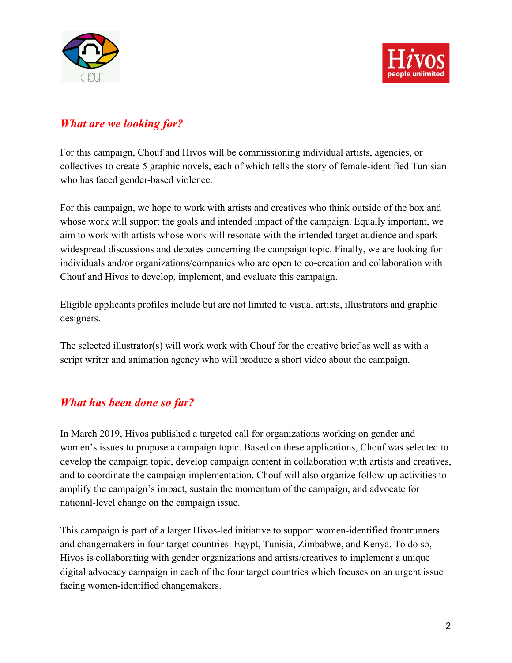



### *What are we looking for?*

For this campaign, Chouf and Hivos will be commissioning individual artists, agencies, or collectives to create 5 graphic novels, each of which tells the story of female-identified Tunisian who has faced gender-based violence.

For this campaign, we hope to work with artists and creatives who think outside of the box and whose work will support the goals and intended impact of the campaign. Equally important, we aim to work with artists whose work will resonate with the intended target audience and spark widespread discussions and debates concerning the campaign topic. Finally, we are looking for individuals and/or organizations/companies who are open to co-creation and collaboration with Chouf and Hivos to develop, implement, and evaluate this campaign.

Eligible applicants profiles include but are not limited to visual artists, illustrators and graphic designers.

The selected illustrator(s) will work work with Chouf for the creative brief as well as with a script writer and animation agency who will produce a short video about the campaign.

### *What has been done so far?*

In March 2019, Hivos published a targeted call for organizations working on gender and women's issues to propose a campaign topic. Based on these applications, Chouf was selected to develop the campaign topic, develop campaign content in collaboration with artists and creatives, and to coordinate the campaign implementation. Chouf will also organize follow-up activities to amplify the campaign's impact, sustain the momentum of the campaign, and advocate for national-level change on the campaign issue.

This campaign is part of a larger Hivos-led initiative to support women-identified frontrunners and changemakers in four target countries: Egypt, Tunisia, Zimbabwe, and Kenya. To do so, Hivos is collaborating with gender organizations and artists/creatives to implement a unique digital advocacy campaign in each of the four target countries which focuses on an urgent issue facing women-identified changemakers.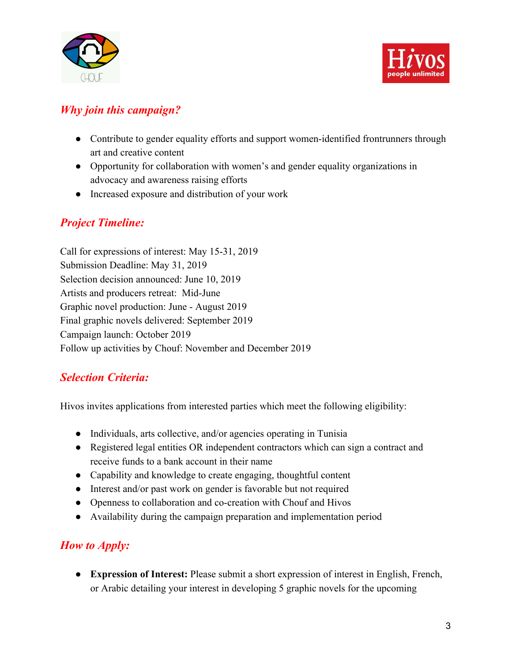



### *Why join this campaign?*

- Contribute to gender equality efforts and support women-identified frontrunners through art and creative content
- Opportunity for collaboration with women's and gender equality organizations in advocacy and awareness raising efforts
- Increased exposure and distribution of your work

# *Project Timeline:*

Call for expressions of interest: May 15-31, 2019 Submission Deadline: May 31, 2019 Selection decision announced: June 10, 2019 Artists and producers retreat: Mid-June Graphic novel production: June - August 2019 Final graphic novels delivered: September 2019 Campaign launch: October 2019 Follow up activities by Chouf: November and December 2019

# *Selection Criteria:*

Hivos invites applications from interested parties which meet the following eligibility:

- Individuals, arts collective, and/or agencies operating in Tunisia
- Registered legal entities OR independent contractors which can sign a contract and receive funds to a bank account in their name
- Capability and knowledge to create engaging, thoughtful content
- Interest and/or past work on gender is favorable but not required
- Openness to collaboration and co-creation with Chouf and Hivos
- Availability during the campaign preparation and implementation period

# *How to Apply:*

**● Expression of Interest:** Please submit a short expression of interest in English, French, or Arabic detailing your interest in developing 5 graphic novels for the upcoming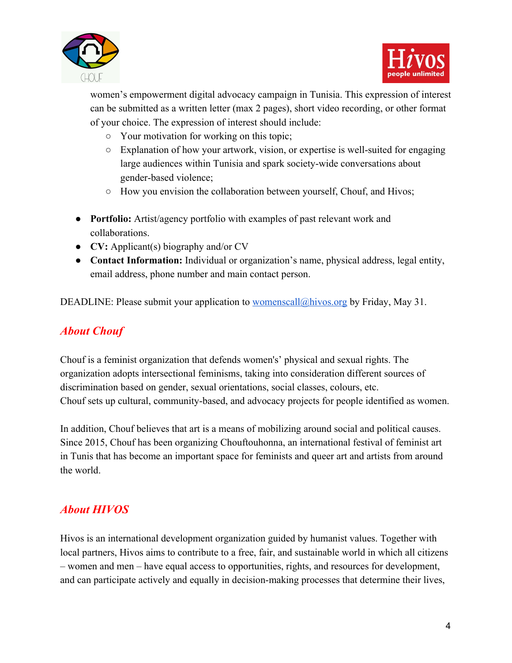



women's empowerment digital advocacy campaign in Tunisia. This expression of interest can be submitted as a written letter (max 2 pages), short video recording, or other format of your choice. The expression of interest should include:

- **○** Your motivation for working on this topic;
- **○** Explanation of how your artwork, vision, or expertise is well-suited for engaging large audiences within Tunisia and spark society-wide conversations about gender-based violence;
- **○** How you envision the collaboration between yourself, Chouf, and Hivos;
- **● Portfolio:** Artist/agency portfolio with examples of past relevant work and collaborations.
- **● CV:** Applicant(s) biography and/or CV
- **Contact Information:** Individual or organization's name, physical address, legal entity, email address, phone number and main contact person.

DEADLINE: Please submit your application to [womenscall@hivos.org](mailto:womenscall@hivos.org) by Friday, May 31.

# *About Chouf*

Chouf is a feminist organization that defends women's' physical and sexual rights. The organization adopts intersectional feminisms, taking into consideration different sources of discrimination based on gender, sexual orientations, social classes, colours, etc. Chouf sets up cultural, community-based, and advocacy projects for people identified as women.

In addition, Chouf believes that art is a means of mobilizing around social and political causes. Since 2015, Chouf has been organizing Chouftouhonna, an international festival of feminist art in Tunis that has become an important space for feminists and queer art and artists from around the world.

# *About HIVOS*

Hivos is an international development organization guided by humanist values. Together with local partners, Hivos aims to contribute to a free, fair, and sustainable world in which all citizens – women and men – have equal access to opportunities, rights, and resources for development, and can participate actively and equally in decision-making processes that determine their lives,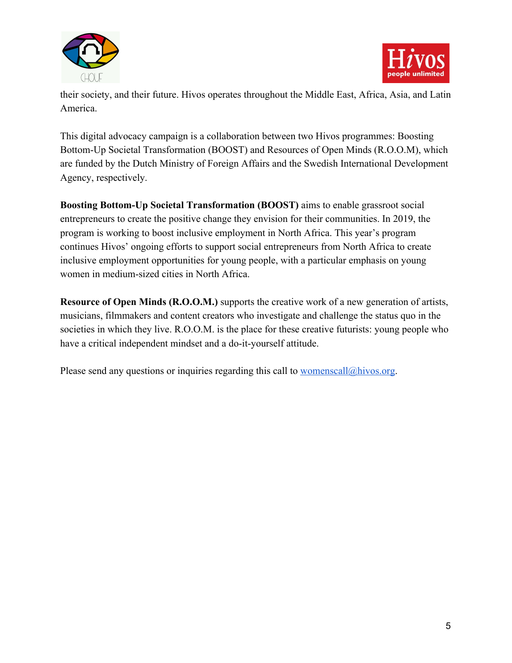



their society, and their future. Hivos operates throughout the Middle East, Africa, Asia, and Latin America.

This digital advocacy campaign is a collaboration between two Hivos programmes: Boosting Bottom-Up Societal Transformation (BOOST) and Resources of Open Minds (R.O.O.M), which are funded by the Dutch Ministry of Foreign Affairs and the Swedish International Development Agency, respectively.

**Boosting Bottom-Up Societal Transformation (BOOST)** aims to enable grassroot social entrepreneurs to create the positive change they envision for their communities. In 2019, the program is working to boost inclusive employment in North Africa. This year's program continues Hivos' ongoing efforts to support social entrepreneurs from North Africa to create inclusive employment opportunities for young people, with a particular emphasis on young women in medium-sized cities in North Africa.

**Resource of Open Minds (R.O.O.M.)** supports the creative work of a new generation of artists, musicians, filmmakers and content creators who investigate and challenge the status quo in the societies in which they live. R.O.O.M. is the place for these creative futurists: young people who have a critical independent mindset and a do-it-yourself attitude.

Please send any questions or inquiries regarding this call to  $\underline{womenscall@hivos.org}$ .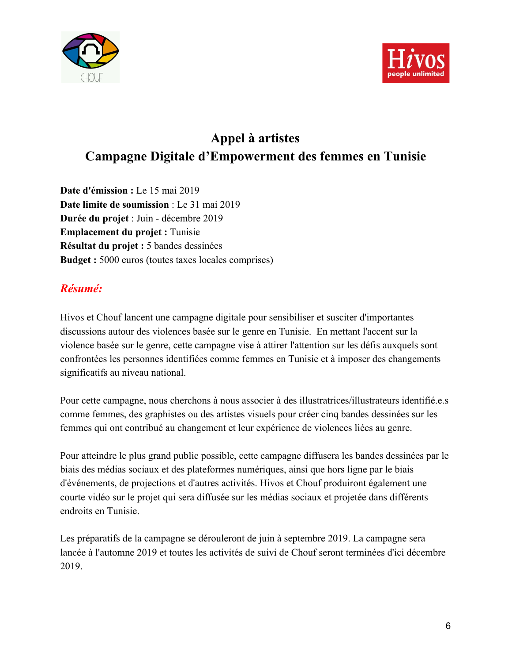



# **Appel à artistes Campagne Digitale d'Empowerment des femmes en Tunisie**

**Date d'émission :** Le 15 mai 2019 **Date limite de soumission** : Le 31 mai 2019 **Durée du projet** : Juin - décembre 2019 **Emplacement du projet :** Tunisie **Résultat du projet :** 5 bandes dessinées **Budget :** 5000 euros (toutes taxes locales comprises)

# *Résumé:*

Hivos et Chouf lancent une campagne digitale pour sensibiliser et susciter d'importantes discussions autour des violences basée sur le genre en Tunisie. En mettant l'accent sur la violence basée sur le genre, cette campagne vise à attirer l'attention sur les défis auxquels sont confrontées les personnes identifiées comme femmes en Tunisie et à imposer des changements significatifs au niveau national.

Pour cette campagne, nous cherchons à nous associer à des illustratrices/illustrateurs identifié.e.s comme femmes, des graphistes ou des artistes visuels pour créer cinq bandes dessinées sur les femmes qui ont contribué au changement et leur expérience de violences liées au genre.

Pour atteindre le plus grand public possible, cette campagne diffusera les bandes dessinées par le biais des médias sociaux et des plateformes numériques, ainsi que hors ligne par le biais d'événements, de projections et d'autres activités. Hivos et Chouf produiront également une courte vidéo sur le projet qui sera diffusée sur les médias sociaux et projetée dans différents endroits en Tunisie.

Les préparatifs de la campagne se dérouleront de juin à septembre 2019. La campagne sera lancée à l'automne 2019 et toutes les activités de suivi de Chouf seront terminées d'ici décembre 2019.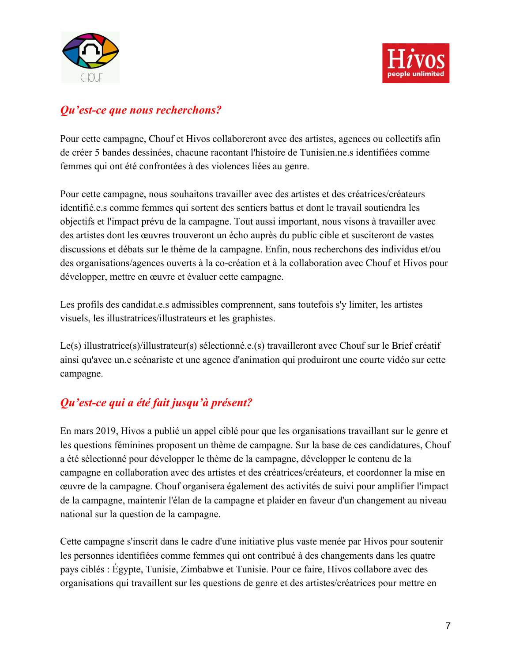



#### *Qu'est-ce que nous recherchons?*

Pour cette campagne, Chouf et Hivos collaboreront avec des artistes, agences ou collectifs afin de créer 5 bandes dessinées, chacune racontant l'histoire de Tunisien.ne.s identifiées comme femmes qui ont été confrontées à des violences liées au genre.

Pour cette campagne, nous souhaitons travailler avec des artistes et des créatrices/créateurs identifié.e.s comme femmes qui sortent des sentiers battus et dont le travail soutiendra les objectifs et l'impact prévu de la campagne. Tout aussi important, nous visons à travailler avec des artistes dont les œuvres trouveront un écho auprès du public cible et susciteront de vastes discussions et débats sur le thème de la campagne. Enfin, nous recherchons des individus et/ou des organisations/agences ouverts à la co-création et à la collaboration avec Chouf et Hivos pour développer, mettre en œuvre et évaluer cette campagne.

Les profils des candidat.e.s admissibles comprennent, sans toutefois s'y limiter, les artistes visuels, les illustratrices/illustrateurs et les graphistes.

Le(s) illustratrice(s)/illustrateur(s) sélectionné.e.(s) travailleront avec Chouf sur le Brief créatif ainsi qu'avec un.e scénariste et une agence d'animation qui produiront une courte vidéo sur cette campagne.

# *Qu'est-ce qui a été fait jusqu'à présent?*

En mars 2019, Hivos a publié un appel ciblé pour que les organisations travaillant sur le genre et les questions féminines proposent un thème de campagne. Sur la base de ces candidatures, Chouf a été sélectionné pour développer le thème de la campagne, développer le contenu de la campagne en collaboration avec des artistes et des créatrices/créateurs, et coordonner la mise en œuvre de la campagne. Chouf organisera également des activités de suivi pour amplifier l'impact de la campagne, maintenir l'élan de la campagne et plaider en faveur d'un changement au niveau national sur la question de la campagne.

Cette campagne s'inscrit dans le cadre d'une initiative plus vaste menée par Hivos pour soutenir les personnes identifiées comme femmes qui ont contribué à des changements dans les quatre pays ciblés : Égypte, Tunisie, Zimbabwe et Tunisie. Pour ce faire, Hivos collabore avec des organisations qui travaillent sur les questions de genre et des artistes/créatrices pour mettre en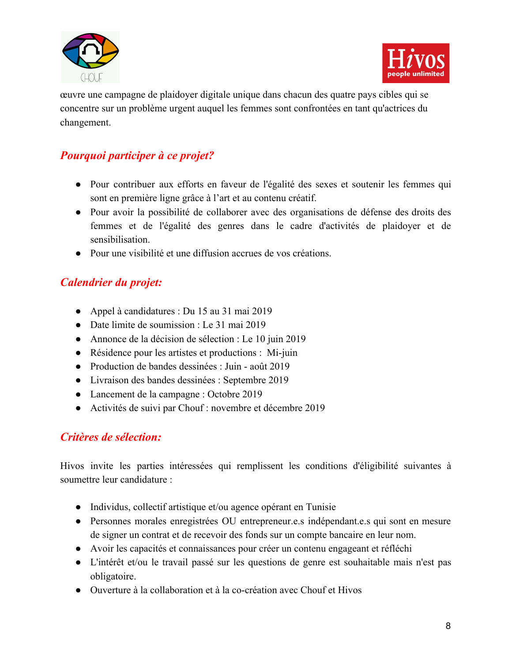



œuvre une campagne de plaidoyer digitale unique dans chacun des quatre pays cibles qui se concentre sur un problème urgent auquel les femmes sont confrontées en tant qu'actrices du changement.

# *Pourquoi participer à ce projet?*

- Pour contribuer aux efforts en faveur de l'égalité des sexes et soutenir les femmes qui sont en première ligne grâce à l'art et au contenu créatif.
- Pour avoir la possibilité de collaborer avec des organisations de défense des droits des femmes et de l'égalité des genres dans le cadre d'activités de plaidoyer et de sensibilisation.
- Pour une visibilité et une diffusion accrues de vos créations.

### *Calendrier du projet:*

- Appel à candidatures : Du 15 au 31 mai 2019
- Date limite de soumission : Le 31 mai 2019
- Annonce de la décision de sélection : Le 10 juin 2019
- Résidence pour les artistes et productions : Mi-juin
- Production de bandes dessinées : Juin août 2019
- Livraison des bandes dessinées : Septembre 2019
- Lancement de la campagne : Octobre 2019
- Activités de suivi par Chouf : novembre et décembre 2019

# *Critères de sélection:*

Hivos invite les parties intéressées qui remplissent les conditions d'éligibilité suivantes à soumettre leur candidature :

- Individus, collectif artistique et/ou agence opérant en Tunisie
- Personnes morales enregistrées OU entrepreneur.e.s indépendant.e.s qui sont en mesure de signer un contrat et de recevoir des fonds sur un compte bancaire en leur nom.
- Avoir les capacités et connaissances pour créer un contenu engageant et réfléchi
- L'intérêt et/ou le travail passé sur les questions de genre est souhaitable mais n'est pas obligatoire.
- Ouverture à la collaboration et à la co-création avec Chouf et Hivos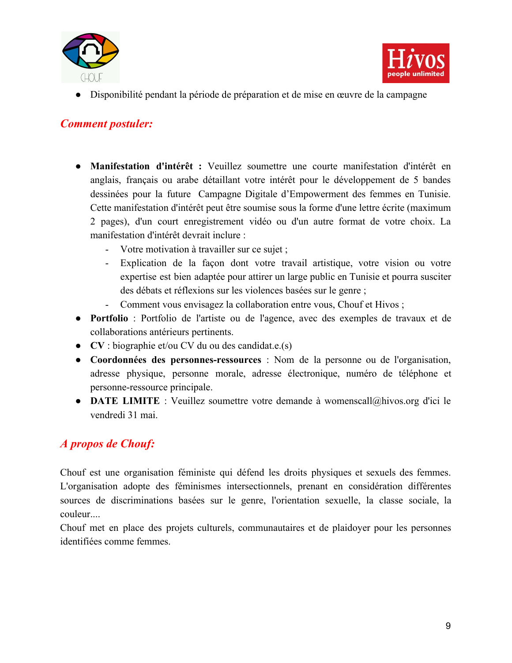



● Disponibilité pendant la période de préparation et de mise en œuvre de la campagne

### *Comment postuler:*

- **Manifestation d'intérêt :** Veuillez soumettre une courte manifestation d'intérêt en anglais, français ou arabe détaillant votre intérêt pour le développement de 5 bandes dessinées pour la future Campagne Digitale d'Empowerment des femmes en Tunisie. Cette manifestation d'intérêt peut être soumise sous la forme d'une lettre écrite (maximum 2 pages), d'un court enregistrement vidéo ou d'un autre format de votre choix. La manifestation d'intérêt devrait inclure :
	- Votre motivation à travailler sur ce sujet ;
	- Explication de la façon dont votre travail artistique, votre vision ou votre expertise est bien adaptée pour attirer un large public en Tunisie et pourra susciter des débats et réflexions sur les violences basées sur le genre ;
	- Comment vous envisagez la collaboration entre vous, Chouf et Hivos ;
- **Portfolio** : Portfolio de l'artiste ou de l'agence, avec des exemples de travaux et de collaborations antérieurs pertinents.
- **CV** : biographie et/ou CV du ou des candidat.e.(s)
- **Coordonnées des personnes-ressources** : Nom de la personne ou de l'organisation, adresse physique, personne morale, adresse électronique, numéro de téléphone et personne-ressource principale.
- **DATE LIMITE** : Veuillez soumettre votre demande à womenscall@hivos.org d'ici le vendredi 31 mai.

### *A propos de Chouf:*

Chouf est une organisation féministe qui défend les droits physiques et sexuels des femmes. L'organisation adopte des féminismes intersectionnels, prenant en considération différentes sources de discriminations basées sur le genre, l'orientation sexuelle, la classe sociale, la couleur....

Chouf met en place des projets culturels, communautaires et de plaidoyer pour les personnes identifiées comme femmes.